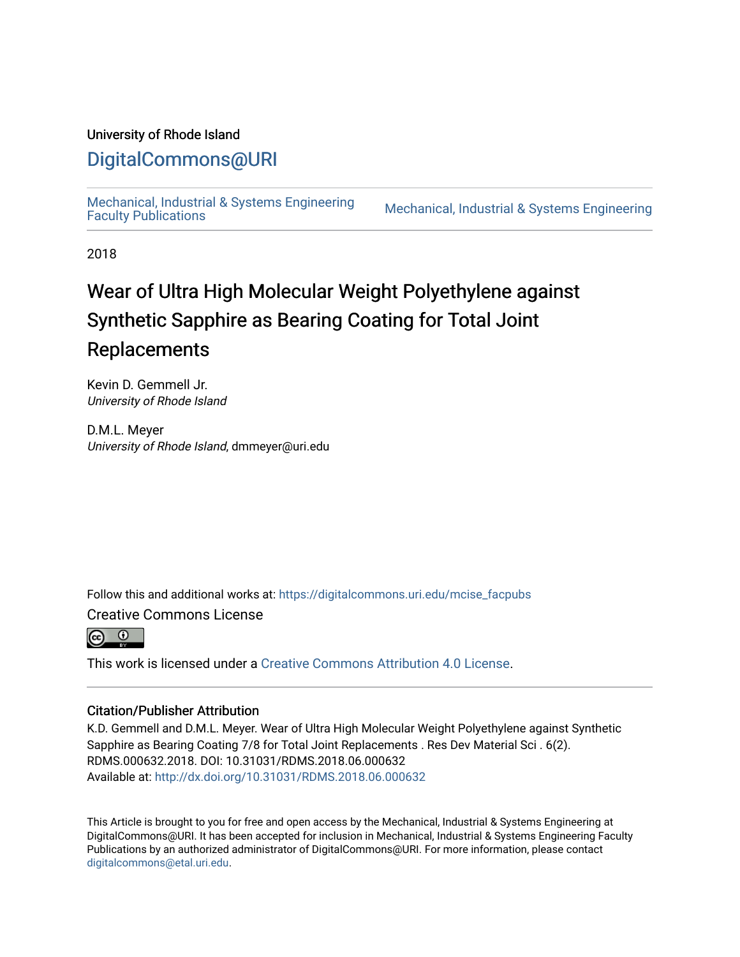## University of Rhode Island

# [DigitalCommons@URI](https://digitalcommons.uri.edu/)

[Mechanical, Industrial & Systems Engineering](https://digitalcommons.uri.edu/mcise_facpubs) 

Mechanical, Industrial & Systems Engineering

2018

# Wear of Ultra High Molecular Weight Polyethylene against Synthetic Sapphire as Bearing Coating for Total Joint Replacements

Kevin D. Gemmell Jr. University of Rhode Island

D.M.L. Meyer University of Rhode Island, dmmeyer@uri.edu

Follow this and additional works at: [https://digitalcommons.uri.edu/mcise\\_facpubs](https://digitalcommons.uri.edu/mcise_facpubs?utm_source=digitalcommons.uri.edu%2Fmcise_facpubs%2F22&utm_medium=PDF&utm_campaign=PDFCoverPages) 

Creative Commons License



This work is licensed under a [Creative Commons Attribution 4.0 License](https://creativecommons.org/licenses/by/4.0/).

### Citation/Publisher Attribution

K.D. Gemmell and D.M.L. Meyer. Wear of Ultra High Molecular Weight Polyethylene against Synthetic Sapphire as Bearing Coating 7/8 for Total Joint Replacements . Res Dev Material Sci . 6(2). RDMS.000632.2018. DOI: 10.31031/RDMS.2018.06.000632 Available at:<http://dx.doi.org/10.31031/RDMS.2018.06.000632>

This Article is brought to you for free and open access by the Mechanical, Industrial & Systems Engineering at DigitalCommons@URI. It has been accepted for inclusion in Mechanical, Industrial & Systems Engineering Faculty Publications by an authorized administrator of DigitalCommons@URI. For more information, please contact [digitalcommons@etal.uri.edu](mailto:digitalcommons@etal.uri.edu).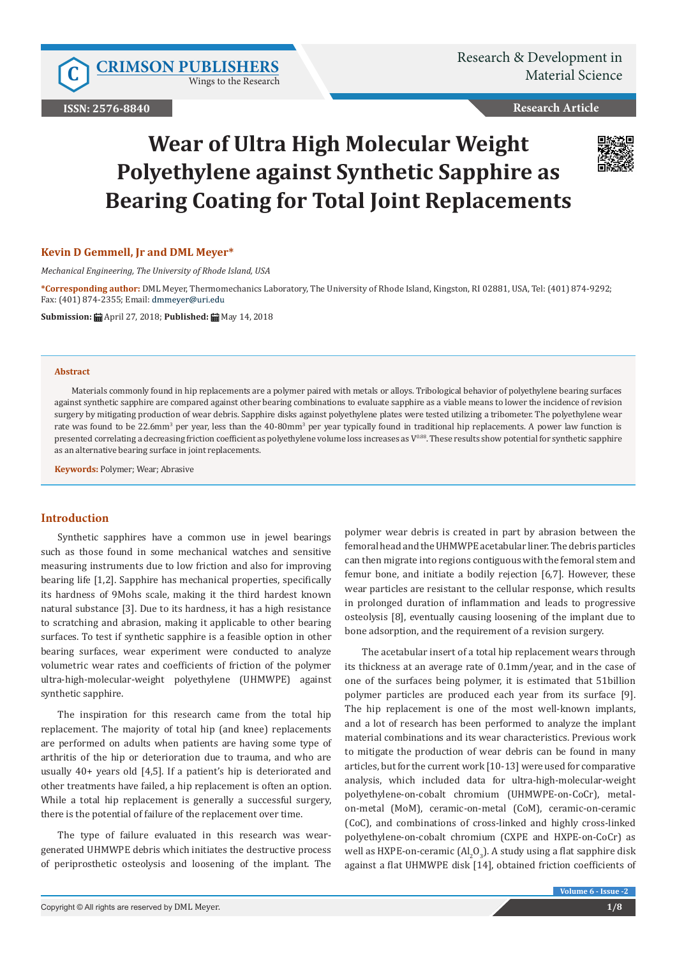Wings to the Research

**ISSN: 2576-8840**

**Research Article**

# **Wear of Ultra High Molecular Weight Polyethylene against Synthetic Sapphire as Bearing Coating for Total Joint Replacements**

### **Kevin D Gemmell, Jr and DML Meyer\***

*Mechanical Engineering, The University of Rhode Island, USA*

**\*Corresponding author:** DML Meyer, Thermomechanics Laboratory, The University of Rhode Island, Kingston, RI 02881, USA, Tel: (401) 874-9292; Fax: (401) 874-2355; Email:

**Submission:** April 27, 2018; **Published:** May 14, 2018

#### **Abstract**

Materials commonly found in hip replacements are a polymer paired with metals or alloys. Tribological behavior of polyethylene bearing surfaces against synthetic sapphire are compared against other bearing combinations to evaluate sapphire as a viable means to lower the incidence of revision surgery by mitigating production of wear debris. Sapphire disks against polyethylene plates were tested utilizing a tribometer. The polyethylene wear rate was found to be 22.6mm<sup>3</sup> per year, less than the 40-80mm<sup>3</sup> per year typically found in traditional hip replacements. A power law function is presented correlating a decreasing friction coefficient as polyethylene volume loss increases as V<sup>0.88</sup>. These results show potential for synthetic sapphire as an alternative bearing surface in joint replacements.

**Keywords:** Polymer; Wear; Abrasive

#### **Introduction**

Synthetic sapphires have a common use in jewel bearings such as those found in some mechanical watches and sensitive measuring instruments due to low friction and also for improving bearing life [1,2]. Sapphire has mechanical properties, specifically its hardness of 9Mohs scale, making it the third hardest known natural substance [3]. Due to its hardness, it has a high resistance to scratching and abrasion, making it applicable to other bearing surfaces. To test if synthetic sapphire is a feasible option in other bearing surfaces, wear experiment were conducted to analyze volumetric wear rates and coefficients of friction of the polymer ultra-high-molecular-weight polyethylene (UHMWPE) against synthetic sapphire.

The inspiration for this research came from the total hip replacement. The majority of total hip (and knee) replacements are performed on adults when patients are having some type of arthritis of the hip or deterioration due to trauma, and who are usually 40+ years old [4,5]. If a patient's hip is deteriorated and other treatments have failed, a hip replacement is often an option. While a total hip replacement is generally a successful surgery, there is the potential of failure of the replacement over time.

The type of failure evaluated in this research was weargenerated UHMWPE debris which initiates the destructive process of periprosthetic osteolysis and loosening of the implant. The

polymer wear debris is created in part by abrasion between the femoral head and the UHMWPE acetabular liner. The debris particles can then migrate into regions contiguous with the femoral stem and femur bone, and initiate a bodily rejection [6,7]. However, these wear particles are resistant to the cellular response, which results in prolonged duration of inflammation and leads to progressive osteolysis [8], eventually causing loosening of the implant due to bone adsorption, and the requirement of a revision surgery.

The acetabular insert of a total hip replacement wears through its thickness at an average rate of 0.1mm/year, and in the case of one of the surfaces being polymer, it is estimated that 51billion polymer particles are produced each year from its surface [9]. The hip replacement is one of the most well-known implants, and a lot of research has been performed to analyze the implant material combinations and its wear characteristics. Previous work to mitigate the production of wear debris can be found in many articles, but for the current work [10-13] were used for comparative analysis, which included data for ultra-high-molecular-weight polyethylene-on-cobalt chromium (UHMWPE-on-CoCr), metalon-metal (MoM), ceramic-on-metal (CoM), ceramic-on-ceramic (CoC), and combinations of cross-linked and highly cross-linked polyethylene-on-cobalt chromium (CXPE and HXPE-on-CoCr) as well as HXPE-on-ceramic (Al $_2$ O<sub>3</sub>). A study using a flat sapphire disk against a flat UHMWPE disk [14], obtained friction coefficients of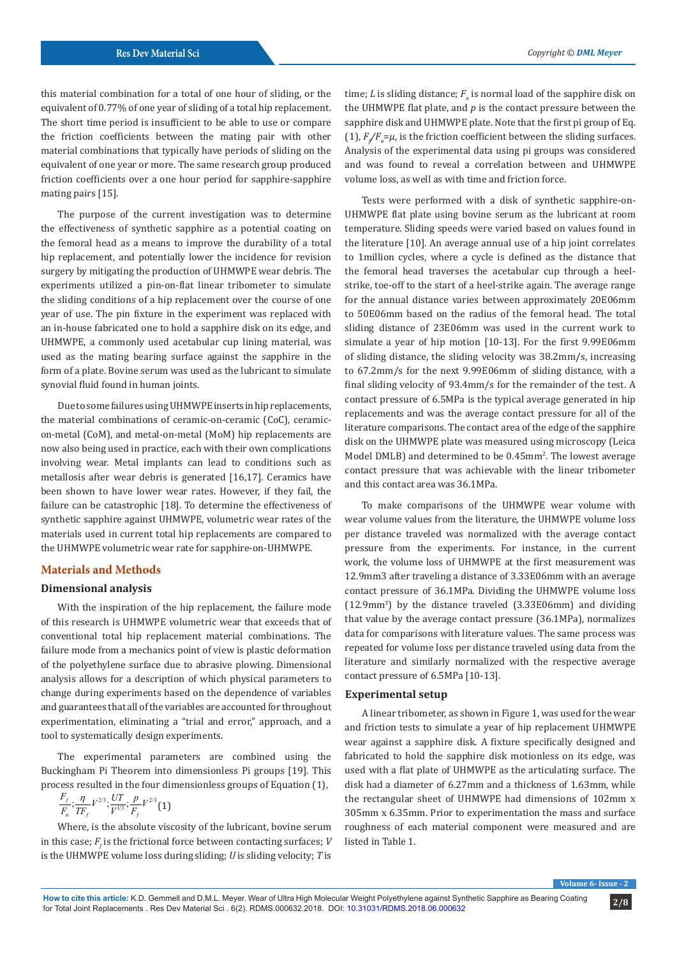this material combination for a total of one hour of sliding, or the equivalent of 0.77% of one year of sliding of a total hip replacement. The short time period is insufficient to be able to use or compare the friction coefficients between the mating pair with other material combinations that typically have periods of sliding on the equivalent of one year or more. The same research group produced friction coefficients over a one hour period for sapphire-sapphire mating pairs [15].

The purpose of the current investigation was to determine the effectiveness of synthetic sapphire as a potential coating on the femoral head as a means to improve the durability of a total hip replacement, and potentially lower the incidence for revision surgery by mitigating the production of UHMWPE wear debris. The experiments utilized a pin-on-flat linear tribometer to simulate the sliding conditions of a hip replacement over the course of one year of use. The pin fixture in the experiment was replaced with an in-house fabricated one to hold a sapphire disk on its edge, and UHMWPE, a commonly used acetabular cup lining material, was used as the mating bearing surface against the sapphire in the form of a plate. Bovine serum was used as the lubricant to simulate synovial fluid found in human joints.

Due to some failures using UHMWPE inserts in hip replacements, the material combinations of ceramic-on-ceramic (CoC), ceramicon-metal (CoM), and metal-on-metal (MoM) hip replacements are now also being used in practice, each with their own complications involving wear. Metal implants can lead to conditions such as metallosis after wear debris is generated [16,17]. Ceramics have been shown to have lower wear rates. However, if they fail, the failure can be catastrophic [18]. To determine the effectiveness of synthetic sapphire against UHMWPE, volumetric wear rates of the materials used in current total hip replacements are compared to the UHMWPE volumetric wear rate for sapphire-on-UHMWPE.

#### **Materials and Methods**

#### **Dimensional analysis**

With the inspiration of the hip replacement, the failure mode of this research is UHMWPE volumetric wear that exceeds that of conventional total hip replacement material combinations. The failure mode from a mechanics point of view is plastic deformation of the polyethylene surface due to abrasive plowing. Dimensional analysis allows for a description of which physical parameters to change during experiments based on the dependence of variables and guarantees that all of the variables are accounted for throughout experimentation, eliminating a "trial and error," approach, and a tool to systematically design experiments.

The experimental parameters are combined using the Buckingham Pi Theorem into dimensionless Pi groups [19]. This process resulted in the four dimensionless groups of Equation (1),

$$
\frac{F_f}{F_n};\frac{\eta}{TF_f}V^{2/3};\frac{UT}{V^{1/3}};\frac{p}{F_f}V^{2/3}(1)
$$

Where, is the absolute viscosity of the lubricant, bovine serum in this case;  $F_f$  is the frictional force between contacting surfaces; *V* is the UHMWPE volume loss during sliding; *U* is sliding velocity; *T* is

time;  $L$  is sliding distance;  $F_n$  is normal load of the sapphire disk on the UHMWPE flat plate, and *p* is the contact pressure between the sapphire disk and UHMWPE plate. Note that the first pi group of Eq. (1),  $F/F_{n} = \mu$ , is the friction coefficient between the sliding surfaces. Analysis of the experimental data using pi groups was considered and was found to reveal a correlation between and UHMWPE volume loss, as well as with time and friction force.

Tests were performed with a disk of synthetic sapphire-on-UHMWPE flat plate using bovine serum as the lubricant at room temperature. Sliding speeds were varied based on values found in the literature [10]. An average annual use of a hip joint correlates to 1million cycles, where a cycle is defined as the distance that the femoral head traverses the acetabular cup through a heelstrike, toe-off to the start of a heel-strike again. The average range for the annual distance varies between approximately 20E06mm to 50E06mm based on the radius of the femoral head. The total sliding distance of 23E06mm was used in the current work to simulate a year of hip motion [10-13]. For the first 9.99E06mm of sliding distance, the sliding velocity was 38.2mm/s, increasing to 67.2mm/s for the next 9.99E06mm of sliding distance, with a final sliding velocity of 93.4mm/s for the remainder of the test. A contact pressure of 6.5MPa is the typical average generated in hip replacements and was the average contact pressure for all of the literature comparisons. The contact area of the edge of the sapphire disk on the UHMWPE plate was measured using microscopy (Leica Model DMLB) and determined to be 0.45mm2 . The lowest average contact pressure that was achievable with the linear tribometer and this contact area was 36.1MPa.

To make comparisons of the UHMWPE wear volume with wear volume values from the literature, the UHMWPE volume loss per distance traveled was normalized with the average contact pressure from the experiments. For instance, in the current work, the volume loss of UHMWPE at the first measurement was 12.9mm3 after traveling a distance of 3.33E06mm with an average contact pressure of 36.1MPa. Dividing the UHMWPE volume loss  $(12.9 \text{mm}^3)$  by the distance traveled  $(3.33 \text{E} 06 \text{mm})$  and dividing that value by the average contact pressure (36.1MPa), normalizes data for comparisons with literature values. The same process was repeated for volume loss per distance traveled using data from the literature and similarly normalized with the respective average contact pressure of 6.5MPa [10-13].

#### **Experimental setup**

A linear tribometer, as shown in Figure 1, was used for the wear and friction tests to simulate a year of hip replacement UHMWPE wear against a sapphire disk. A fixture specifically designed and fabricated to hold the sapphire disk motionless on its edge, was used with a flat plate of UHMWPE as the articulating surface. The disk had a diameter of 6.27mm and a thickness of 1.63mm, while the rectangular sheet of UHMWPE had dimensions of 102mm x 305mm x 6.35mm. Prior to experimentation the mass and surface roughness of each material component were measured and are listed in Table 1.

**Volume 6- Issue - 2**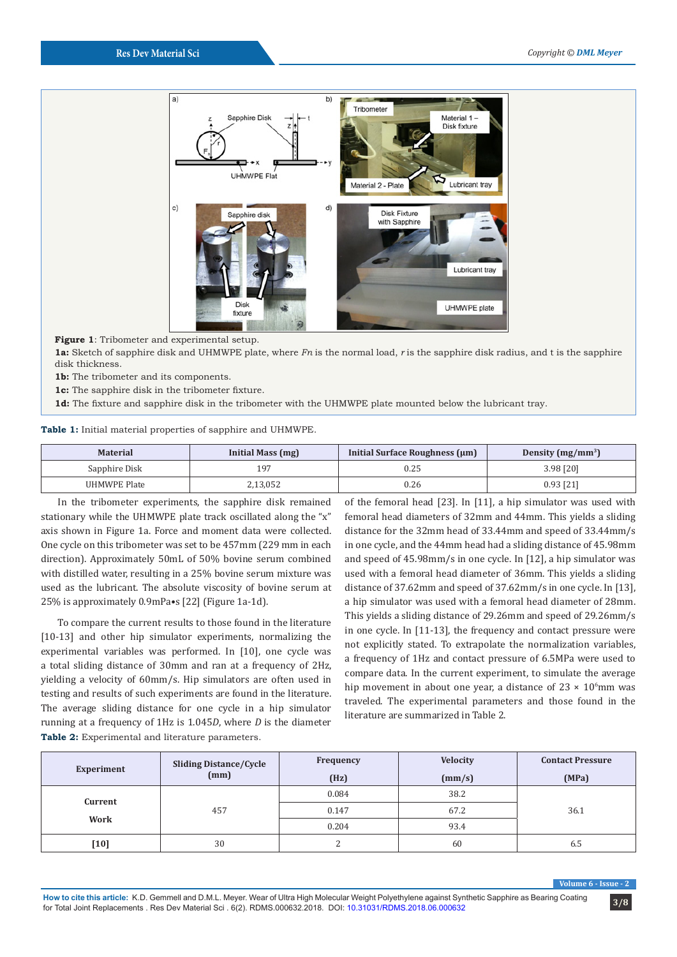

**Figure 1**: Tribometer and experimental setup.

**1a:** Sketch of sapphire disk and UHMWPE plate, where *Fn* is the normal load, *r* is the sapphire disk radius, and t is the sapphire disk thickness.

**1b:** The tribometer and its components.

**1c:** The sapphire disk in the tribometer fixture.

**1d:** The fixture and sapphire disk in the tribometer with the UHMWPE plate mounted below the lubricant tray.

#### **Table 1:** Initial material properties of sapphire and UHMWPE.

| <b>Material</b> | Initial Mass (mg) | Initial Surface Roughness (µm) | Density $(mg/mm^3)$ |
|-----------------|-------------------|--------------------------------|---------------------|
| Sapphire Disk   | 197               | 0.25                           | 3.98 [20]           |
| UHMWPE Plate    | 2,13,052          | 0.26                           | $0.93$ [21]         |

In the tribometer experiments, the sapphire disk remained stationary while the UHMWPE plate track oscillated along the "x" axis shown in Figure 1a. Force and moment data were collected. One cycle on this tribometer was set to be 457mm (229 mm in each direction). Approximately 50mL of 50% bovine serum combined with distilled water, resulting in a 25% bovine serum mixture was used as the lubricant. The absolute viscosity of bovine serum at 25% is approximately 0.9mPa•s [22] (Figure 1a-1d).

To compare the current results to those found in the literature [10-13] and other hip simulator experiments, normalizing the experimental variables was performed. In [10], one cycle was a total sliding distance of 30mm and ran at a frequency of 2Hz, yielding a velocity of 60mm/s. Hip simulators are often used in testing and results of such experiments are found in the literature. The average sliding distance for one cycle in a hip simulator running at a frequency of 1Hz is 1.045*D*, where *D* is the diameter **Table 2:** Experimental and literature parameters.

of the femoral head [23]. In [11], a hip simulator was used with femoral head diameters of 32mm and 44mm. This yields a sliding distance for the 32mm head of 33.44mm and speed of 33.44mm/s in one cycle, and the 44mm head had a sliding distance of 45.98mm and speed of 45.98mm/s in one cycle. In [12], a hip simulator was used with a femoral head diameter of 36mm. This yields a sliding distance of 37.62mm and speed of 37.62mm/s in one cycle. In [13], a hip simulator was used with a femoral head diameter of 28mm. This yields a sliding distance of 29.26mm and speed of 29.26mm/s in one cycle. In [11-13], the frequency and contact pressure were not explicitly stated. To extrapolate the normalization variables, a frequency of 1Hz and contact pressure of 6.5MPa were used to compare data. In the current experiment, to simulate the average hip movement in about one year, a distance of  $23 \times 10^6$ mm was traveled. The experimental parameters and those found in the literature are summarized in Table 2.

| Experiment      | <b>Sliding Distance/Cycle</b><br>(mm) | Frequency | <b>Velocity</b> | <b>Contact Pressure</b> |
|-----------------|---------------------------------------|-----------|-----------------|-------------------------|
|                 |                                       | (Hz)      | (mm/s)          | (MPa)                   |
| Current<br>Work | 457                                   | 0.084     | 38.2            |                         |
|                 |                                       | 0.147     | 67.2            | 36.1                    |
|                 |                                       | 0.204     | 93.4            |                         |
| [10]            | 30                                    | ∠         | 60              | 6.5                     |

**Volume 6 - Issue - 2**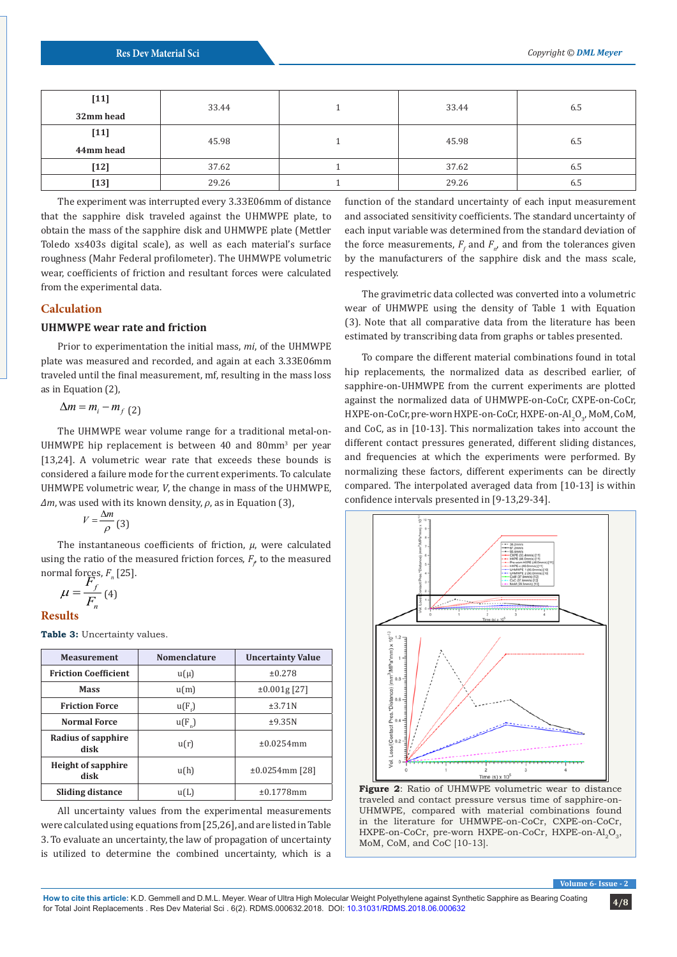| $[11]$                     | 33.44 | 33.44 | 6.5 |
|----------------------------|-------|-------|-----|
| 32mm head                  |       |       |     |
| $[11]$                     | 45.98 | 45.98 | 6.5 |
| 44mm head                  |       |       |     |
| $\llbracket 12 \rrbracket$ | 37.62 | 37.62 | 6.5 |
| [13]                       | 29.26 | 29.26 | 6.5 |

The experiment was interrupted every 3.33E06mm of distance that the sapphire disk traveled against the UHMWPE plate, to obtain the mass of the sapphire disk and UHMWPE plate (Mettler Toledo xs403s digital scale), as well as each material's surface roughness (Mahr Federal profilometer). The UHMWPE volumetric wear, coefficients of friction and resultant forces were calculated from the experimental data.

#### **Calculation**

#### **UHMWPE wear rate and friction**

Prior to experimentation the initial mass, *mi*, of the UHMWPE plate was measured and recorded, and again at each 3.33E06mm traveled until the final measurement, mf, resulting in the mass loss as in Equation (2),

 $\Delta m = m_i - m_f (2)$ 

The UHMWPE wear volume range for a traditional metal-on-UHMWPE hip replacement is between  $40$  and  $80 \text{mm}^3$  per year [13,24]. A volumetric wear rate that exceeds these bounds is considered a failure mode for the current experiments. To calculate UHMWPE volumetric wear, *V*, the change in mass of the UHMWPE, *∆m*, was used with its known density, *ρ*, as in Equation (3),

 $V = \frac{\Delta m}{\rho}$  (3)  $\frac{1}{2}$  (3)

The instantaneous coefficients of friction, *μ*, were calculated using the ratio of the measured friction forces,  $F_{\rho}$  to the measured normal forces,  $F_n$  [25].<br> $F_f$ 

$$
\mu = \frac{F_f}{F_n} \text{ (4)}
$$
  
Results

**Table 3:** Uncertainty values.

| <b>Measurement</b>                | <b>Nomenclature</b> | <b>Uncertainty Value</b> |
|-----------------------------------|---------------------|--------------------------|
| <b>Friction Coefficient</b>       | $u(\mu)$            | ±0.278                   |
| <b>Mass</b>                       | u(m)                | $\pm 0.001$ g [27]       |
| <b>Friction Force</b>             | $u(F_{\epsilon})$   | ±3.71N                   |
| <b>Normal Force</b>               | $u(F_n)$            | ±9.35N                   |
| Radius of sapphire<br>disk        | u(r)                | ±0.0254mm                |
| <b>Height of sapphire</b><br>disk | u(h)                | $±0.0254mm$ [28]         |
| Sliding distance                  | u(L)                | ±0.1778mm                |

All uncertainty values from the experimental measurements were calculated using equations from [25,26], and are listed in Table 3. To evaluate an uncertainty, the law of propagation of uncertainty is utilized to determine the combined uncertainty, which is a function of the standard uncertainty of each input measurement and associated sensitivity coefficients. The standard uncertainty of each input variable was determined from the standard deviation of the force measurements,  $F_f$  and  $F_n$ , and from the tolerances given by the manufacturers of the sapphire disk and the mass scale, respectively.

The gravimetric data collected was converted into a volumetric wear of UHMWPE using the density of Table 1 with Equation (3). Note that all comparative data from the literature has been estimated by transcribing data from graphs or tables presented.

To compare the different material combinations found in total hip replacements, the normalized data as described earlier, of sapphire-on-UHMWPE from the current experiments are plotted against the normalized data of UHMWPE-on-CoCr, CXPE-on-CoCr, HXPE-on-CoCr, pre-worn HXPE-on-CoCr, HXPE-on-Al<sub>2</sub>O<sub>3</sub>, MoM, CoM, and CoC, as in [10-13]. This normalization takes into account the different contact pressures generated, different sliding distances, and frequencies at which the experiments were performed. By normalizing these factors, different experiments can be directly compared. The interpolated averaged data from [10-13] is within confidence intervals presented in [9-13,29-34].



**Figure 2**: Ratio of UHMWPE volumetric wear to distance traveled and contact pressure versus time of sapphire-on-UHMWPE, compared with material combinations found in the literature for UHMWPE-on-CoCr, CXPE-on-CoCr, HXPE-on-CoCr, pre-worn HXPE-on-CoCr, HXPE-on-Al<sub>2</sub>O<sub>2</sub>, MoM, CoM, and CoC [10-13].

**Volume 6- Issue - 2**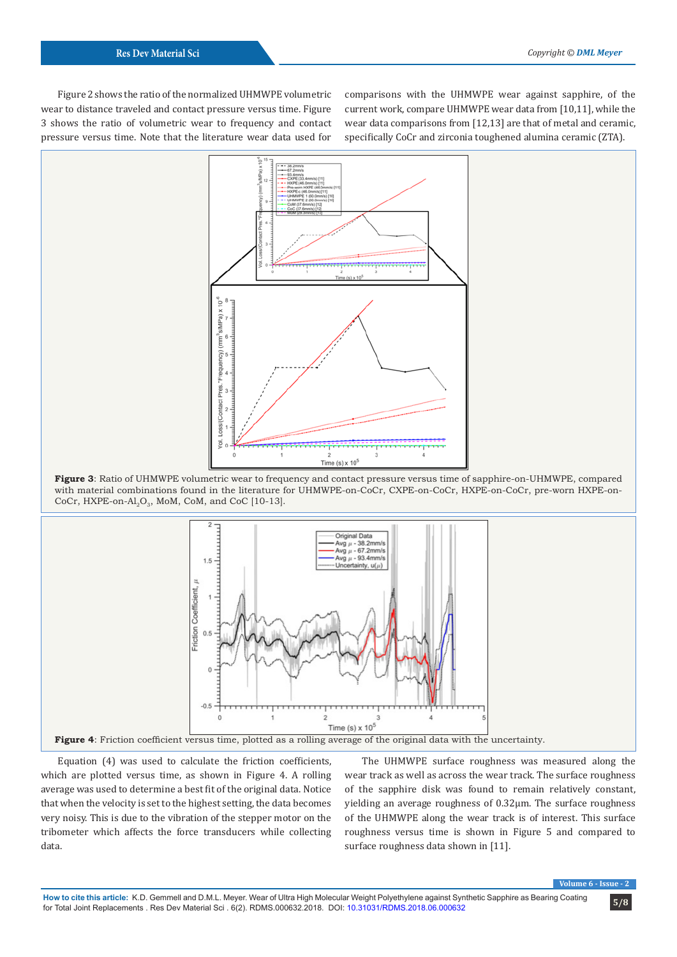Figure 2 shows the ratio of the normalized UHMWPE volumetric wear to distance traveled and contact pressure versus time. Figure 3 shows the ratio of volumetric wear to frequency and contact pressure versus time. Note that the literature wear data used for

comparisons with the UHMWPE wear against sapphire, of the current work, compare UHMWPE wear data from [10,11], while the wear data comparisons from [12,13] are that of metal and ceramic, specifically CoCr and zirconia toughened alumina ceramic (ZTA).







Equation (4) was used to calculate the friction coefficients, which are plotted versus time, as shown in Figure 4. A rolling average was used to determine a best fit of the original data. Notice that when the velocity is set to the highest setting, the data becomes very noisy. This is due to the vibration of the stepper motor on the tribometer which affects the force transducers while collecting data.

The UHMWPE surface roughness was measured along the wear track as well as across the wear track. The surface roughness of the sapphire disk was found to remain relatively constant, yielding an average roughness of 0.32µm. The surface roughness of the UHMWPE along the wear track is of interest. This surface roughness versus time is shown in Figure 5 and compared to surface roughness data shown in [11].

**Volume 6 - Issue - 2**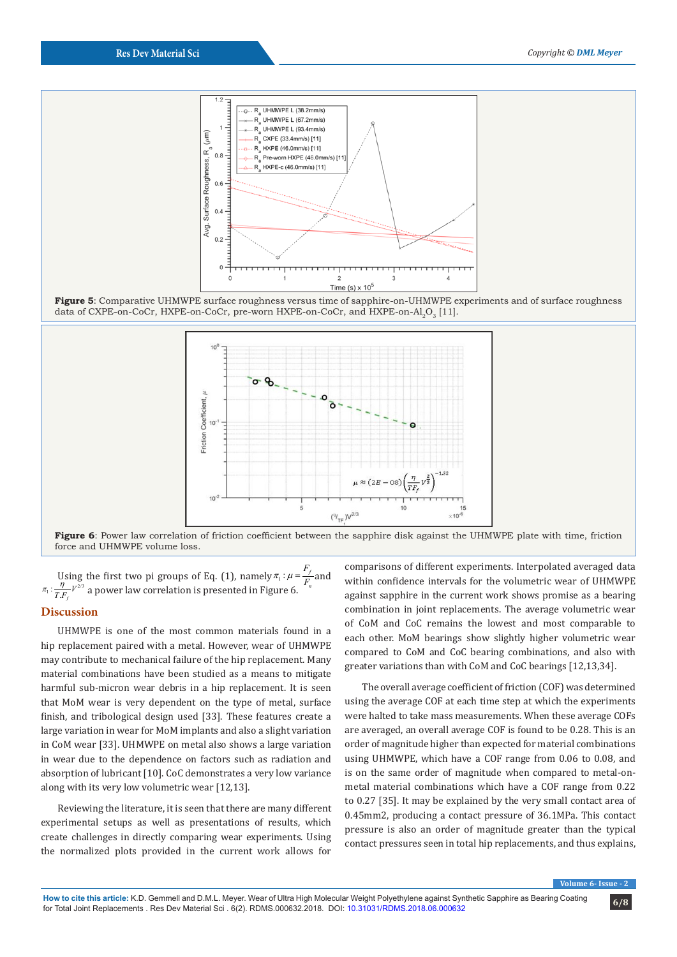

**Figure 5**: Comparative UHMWPE surface roughness versus time of sapphire-on-UHMWPE experiments and of surface roughness data of CXPE-on-CoCr, HXPE-on-CoCr, pre-worn HXPE-on-CoCr, and HXPE-on-Al<sub>2</sub>O<sub>3</sub> [11].



**Figure 6**: Power law correlation of friction coefficient between the sapphire disk against the UHMWPE plate with time, friction force and UHMWPE volume loss.

Using the first two pi groups of Eq. (1), namely  $\pi_1 : \mu = \frac{i}{F_n}$ <br>  $\eta = V^{2/3}$  a natural supercolation is proceeded in Figures ( g the first two pi groups of Eq. (1), namely  $\pi_1 : \mu = \frac{F_f}{F_n}$  and  $F_n^{2/3}$  and approximately is presented in Figure 6.  $\pi_1$ :  $\frac{\eta}{T.F_f}V^{2/3}$  a power law correlation is presented in Figure 6.

#### **Discussion**

UHMWPE is one of the most common materials found in a hip replacement paired with a metal. However, wear of UHMWPE may contribute to mechanical failure of the hip replacement. Many material combinations have been studied as a means to mitigate harmful sub-micron wear debris in a hip replacement. It is seen that MoM wear is very dependent on the type of metal, surface finish, and tribological design used [33]. These features create a large variation in wear for MoM implants and also a slight variation in CoM wear [33]. UHMWPE on metal also shows a large variation in wear due to the dependence on factors such as radiation and absorption of lubricant [10]. CoC demonstrates a very low variance along with its very low volumetric wear [12,13].

Reviewing the literature, it is seen that there are many different experimental setups as well as presentations of results, which create challenges in directly comparing wear experiments. Using the normalized plots provided in the current work allows for

comparisons of different experiments. Interpolated averaged data within confidence intervals for the volumetric wear of UHMWPE against sapphire in the current work shows promise as a bearing combination in joint replacements. The average volumetric wear of CoM and CoC remains the lowest and most comparable to each other. MoM bearings show slightly higher volumetric wear compared to CoM and CoC bearing combinations, and also with greater variations than with CoM and CoC bearings [12,13,34].

The overall average coefficient of friction (COF) was determined using the average COF at each time step at which the experiments were halted to take mass measurements. When these average COFs are averaged, an overall average COF is found to be 0.28. This is an order of magnitude higher than expected for material combinations using UHMWPE, which have a COF range from 0.06 to 0.08, and is on the same order of magnitude when compared to metal-onmetal material combinations which have a COF range from 0.22 to 0.27 [35]. It may be explained by the very small contact area of 0.45mm2, producing a contact pressure of 36.1MPa. This contact pressure is also an order of magnitude greater than the typical contact pressures seen in total hip replacements, and thus explains,

**Issue - 2**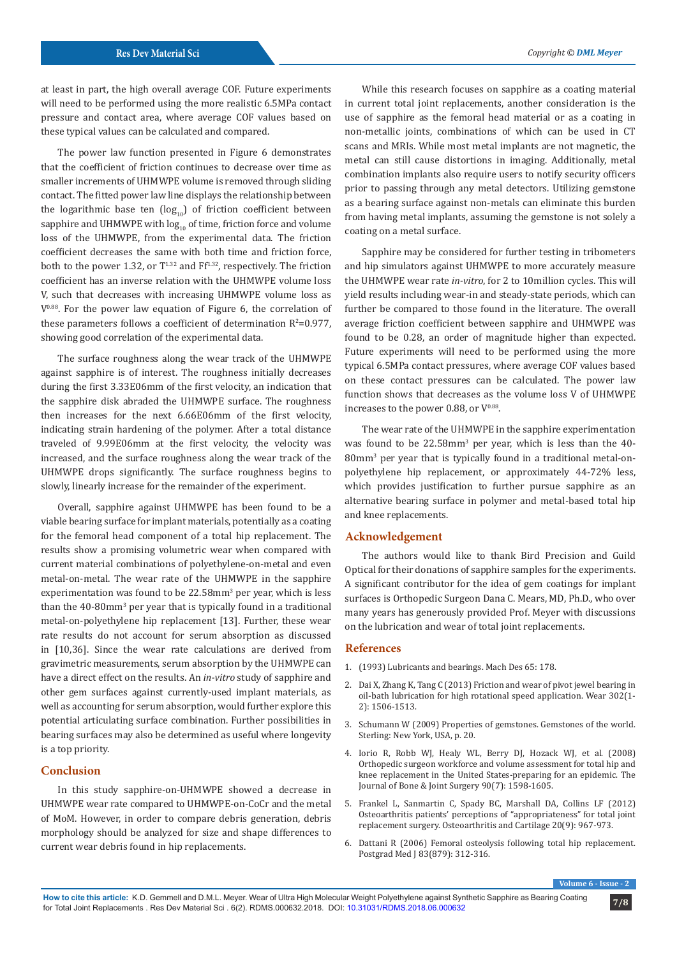at least in part, the high overall average COF. Future experiments will need to be performed using the more realistic 6.5MPa contact pressure and contact area, where average COF values based on these typical values can be calculated and compared.

The power law function presented in Figure 6 demonstrates that the coefficient of friction continues to decrease over time as smaller increments of UHMWPE volume is removed through sliding contact. The fitted power law line displays the relationship between the logarithmic base ten  $(log_{10})$  of friction coefficient between sapphire and UHMWPE with  $log_{10}$  of time, friction force and volume loss of the UHMWPE, from the experimental data. The friction coefficient decreases the same with both time and friction force, both to the power 1.32, or  $T^{1.32}$  and  $Ff^{1.32}$ , respectively. The friction coefficient has an inverse relation with the UHMWPE volume loss V, such that decreases with increasing UHMWPE volume loss as  $V^{0.88}$ . For the power law equation of Figure 6, the correlation of these parameters follows a coefficient of determination  $R^2$ =0.977, showing good correlation of the experimental data.

The surface roughness along the wear track of the UHMWPE against sapphire is of interest. The roughness initially decreases during the first 3.33E06mm of the first velocity, an indication that the sapphire disk abraded the UHMWPE surface. The roughness then increases for the next 6.66E06mm of the first velocity, indicating strain hardening of the polymer. After a total distance traveled of 9.99E06mm at the first velocity, the velocity was increased, and the surface roughness along the wear track of the UHMWPE drops significantly. The surface roughness begins to slowly, linearly increase for the remainder of the experiment.

Overall, sapphire against UHMWPE has been found to be a viable bearing surface for implant materials, potentially as a coating for the femoral head component of a total hip replacement. The results show a promising volumetric wear when compared with current material combinations of polyethylene-on-metal and even metal-on-metal. The wear rate of the UHMWPE in the sapphire experimentation was found to be 22.58mm<sup>3</sup> per year, which is less than the 40-80mm<sup>3</sup> per year that is typically found in a traditional metal-on-polyethylene hip replacement [13]. Further, these wear rate results do not account for serum absorption as discussed in [10,36]. Since the wear rate calculations are derived from gravimetric measurements, serum absorption by the UHMWPE can have a direct effect on the results. An *in-vitro* study of sapphire and other gem surfaces against currently-used implant materials, as well as accounting for serum absorption, would further explore this potential articulating surface combination. Further possibilities in bearing surfaces may also be determined as useful where longevity is a top priority.

#### **Conclusion**

In this study sapphire-on-UHMWPE showed a decrease in UHMWPE wear rate compared to UHMWPE-on-CoCr and the metal of MoM. However, in order to compare debris generation, debris morphology should be analyzed for size and shape differences to current wear debris found in hip replacements.

While this research focuses on sapphire as a coating material in current total joint replacements, another consideration is the use of sapphire as the femoral head material or as a coating in non-metallic joints, combinations of which can be used in CT scans and MRIs. While most metal implants are not magnetic, the metal can still cause distortions in imaging. Additionally, metal combination implants also require users to notify security officers prior to passing through any metal detectors. Utilizing gemstone as a bearing surface against non-metals can eliminate this burden from having metal implants, assuming the gemstone is not solely a coating on a metal surface.

Sapphire may be considered for further testing in tribometers and hip simulators against UHMWPE to more accurately measure the UHMWPE wear rate *in-vitro*, for 2 to 10million cycles. This will yield results including wear-in and steady-state periods, which can further be compared to those found in the literature. The overall average friction coefficient between sapphire and UHMWPE was found to be 0.28, an order of magnitude higher than expected. Future experiments will need to be performed using the more typical 6.5MPa contact pressures, where average COF values based on these contact pressures can be calculated. The power law function shows that decreases as the volume loss V of UHMWPE increases to the power 0.88, or  $V^{0.88}$ .

The wear rate of the UHMWPE in the sapphire experimentation was found to be 22.58mm<sup>3</sup> per year, which is less than the 40-80mm3 per year that is typically found in a traditional metal-onpolyethylene hip replacement, or approximately 44-72% less, which provides justification to further pursue sapphire as an alternative bearing surface in polymer and metal-based total hip and knee replacements.

#### **Acknowledgement**

The authors would like to thank Bird Precision and Guild Optical for their donations of sapphire samples for the experiments. A significant contributor for the idea of gem coatings for implant surfaces is Orthopedic Surgeon Dana C. Mears, MD, Ph.D., who over many years has generously provided Prof. Meyer with discussions on the lubrication and wear of total joint replacements.

#### **References**

- 1. (1993) Lubricants and bearings. Mach Des 65: 178.
- 2. [Dai X, Zhang K, Tang C \(2013\) Friction and wear of pivot jewel bearing in](https://www.sciencedirect.com/science/article/abs/pii/S0043164813000525) [oil-bath lubrication for high rotational speed application. Wear 302\(1-](https://www.sciencedirect.com/science/article/abs/pii/S0043164813000525) [2\): 1506-1513.](https://www.sciencedirect.com/science/article/abs/pii/S0043164813000525)
- 3. Schumann W (2009) Properties of gemstones. Gemstones of the world. Sterling: New York, USA, p. 20.
- 4. [Iorio R, Robb WJ, Healy WL, Berry DJ, Hozack WJ, et al. \(2008\)](https://www.ncbi.nlm.nih.gov/pubmed/18594111) [Orthopedic surgeon workforce and volume assessment for total hip and](https://www.ncbi.nlm.nih.gov/pubmed/18594111) [knee replacement in the United States-preparing for an epidemic. The](https://www.ncbi.nlm.nih.gov/pubmed/18594111) [Journal of Bone & Joint Surgery 90\(7\): 1598-1605.](https://www.ncbi.nlm.nih.gov/pubmed/18594111)
- 5. [Frankel L, Sanmartin C, Spady BC, Marshall DA, Collins LF \(2012\)](https://www.sciencedirect.com/science/article/pii/S1063458412008357) [Osteoarthritis patients' perceptions of "appropriateness" for total joint](https://www.sciencedirect.com/science/article/pii/S1063458412008357) [replacement surgery. Osteoarthritis and Cartilage 20\(9\): 967-973.](https://www.sciencedirect.com/science/article/pii/S1063458412008357)
- 6. [Dattani R \(2006\) Femoral osteolysis following total hip replacement.](https://www.ncbi.nlm.nih.gov/pubmed/17488859/) [Postgrad Med J 83\(879\): 312-316.](https://www.ncbi.nlm.nih.gov/pubmed/17488859/)

**Volume 6**